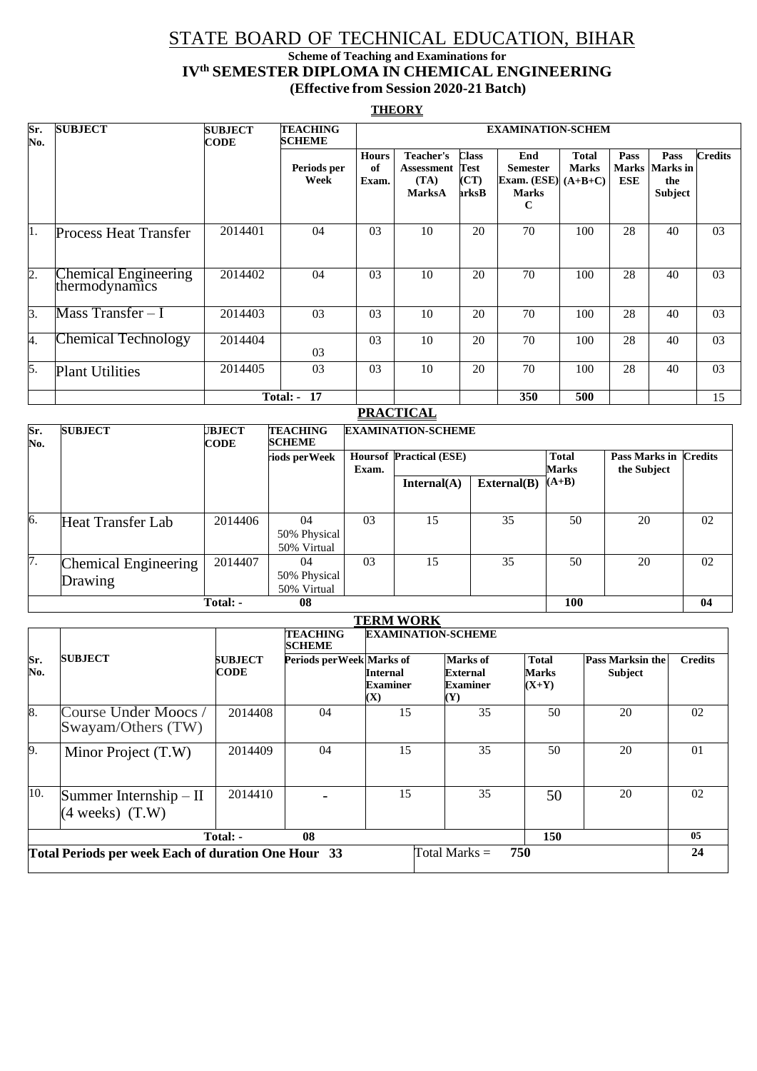### STATE BOARD OF TECHNICAL EDUCATION, BIHAR

#### **Scheme of Teaching and Examinations for IVth SEMESTER DIPLOMA IN CHEMICAL ENGINEERING (Effective from Session 2020-21 Batch)**

#### **THEORY**

| Sr.<br>No.       | <b>SUBJECT</b>                         | <b>SUBJECT</b><br><b>CODE</b> | <b>TEACHING</b><br><b>SCHEME</b> |                             | <b>EXAMINATION-SCHEM</b>                         |                                                       |                                                                                |                              |             |                                                         |                |
|------------------|----------------------------------------|-------------------------------|----------------------------------|-----------------------------|--------------------------------------------------|-------------------------------------------------------|--------------------------------------------------------------------------------|------------------------------|-------------|---------------------------------------------------------|----------------|
|                  |                                        |                               | Periods per<br>Week              | <b>Hours</b><br>of<br>Exam. | Teacher's<br>Assessment<br>(TA)<br><b>MarksA</b> | Class<br>Test<br>$\left( \mathbf{CT}\right)$<br>arksB | End<br><b>Semester</b><br>Exam. $(ESE) (A+B+C)$<br><b>Marks</b><br>$\mathbf C$ | <b>Total</b><br><b>Marks</b> | Pass<br>ESE | Pass<br><b>Marks  Marks in</b><br>the<br><b>Subject</b> | <b>Credits</b> |
| 11.              | <b>Process Heat Transfer</b>           | 2014401                       | 04                               | 03                          | 10                                               | 20                                                    | 70                                                                             | 100                          | 28          | 40                                                      | 03             |
| $\overline{2}$ . | Chemical Engineering<br>thermodynamics | 2014402                       | 04                               | 03                          | 10                                               | 20                                                    | 70                                                                             | 100                          | 28          | 40                                                      | 03             |
| k.               | Mass Transfer $-1$                     | 2014403                       | 03                               | 03                          | 10                                               | 20                                                    | 70                                                                             | 100                          | 28          | 40                                                      | 03             |
| 4.               | Chemical Technology                    | 2014404                       | 03                               | 03                          | 10                                               | 20                                                    | 70                                                                             | 100                          | 28          | 40                                                      | 03             |
| 5.               | <b>Plant Utilities</b>                 | 2014405                       | 03                               | 03                          | 10                                               | 20                                                    | 70                                                                             | 100                          | 28          | 40                                                      | 03             |
|                  |                                        |                               | <b>Total: - 17</b>               |                             |                                                  |                                                       | 350                                                                            | 500                          |             |                                                         | 15             |

|            | <b>PRACTICAL</b>                |                              |                                   |                           |                                |             |                              |                                             |    |  |  |
|------------|---------------------------------|------------------------------|-----------------------------------|---------------------------|--------------------------------|-------------|------------------------------|---------------------------------------------|----|--|--|
| Sr.<br>No. | <b>SUBJECT</b>                  | <b>JBJECT</b><br><b>CODE</b> | <b>TEACHING</b><br><b>SCHEME</b>  | <b>EXAMINATION-SCHEME</b> |                                |             |                              |                                             |    |  |  |
|            |                                 |                              | riods per Week                    | Exam.                     | <b>Hoursof Practical (ESE)</b> |             | <b>Total</b><br><b>Marks</b> | <b>Pass Marks in Credits</b><br>the Subject |    |  |  |
|            |                                 |                              |                                   |                           | Internal(A)                    | External(B) | $(A+B)$                      |                                             |    |  |  |
|            |                                 |                              |                                   |                           |                                |             |                              |                                             |    |  |  |
| 6.         | Heat Transfer Lab               | 2014406                      | 04<br>50% Physical<br>50% Virtual | 03                        | 15                             | 35          | 50                           | 20                                          | 02 |  |  |
| 7.         | Chemical Engineering<br>Drawing | 2014407                      | 04<br>50% Physical<br>50% Virtual | 03                        | 15                             | 35          | 50                           | 20                                          | 02 |  |  |
|            |                                 | Total: -                     | 08                                |                           |                                |             | 100                          |                                             | 04 |  |  |

|                                                                               |                                                         |                        | <b>TEACHING</b><br><b>SCHEME</b> | <b>EXAMINATION-SCHEME</b>                                        |                                                                  |                                  |                                           |                |  |  |
|-------------------------------------------------------------------------------|---------------------------------------------------------|------------------------|----------------------------------|------------------------------------------------------------------|------------------------------------------------------------------|----------------------------------|-------------------------------------------|----------------|--|--|
| Sr.<br>No.                                                                    | <b>SUBJECT</b>                                          | <b>SUBJECT</b><br>CODE | Periods per Week Marks of        | <b>Internal</b><br><b>Examiner</b><br>$\left( \mathbf{X}\right)$ | <b>Marks</b> of<br>External<br><b>Examiner</b><br>$(\mathbf{Y})$ | <b>Total</b><br>Marks<br>$(X+Y)$ | <b>Pass Marksin the</b><br><b>Subject</b> | <b>Credits</b> |  |  |
| 8.                                                                            | Course Under Moocs /<br>Swayam/Others (TW)              | 2014408                | 04                               | 15                                                               | 35                                                               | 50                               | 20                                        | 02             |  |  |
| 9.                                                                            | Minor Project (T.W)                                     | 2014409                | 04                               | 15                                                               | 35                                                               | 50                               | 20                                        | 01             |  |  |
| 10.                                                                           | Summer Internship $-$ II<br>$(4 \text{ weeks})$ $(T.W)$ | 2014410                |                                  | 15                                                               | 35                                                               | 50                               | 20                                        | 02             |  |  |
|                                                                               |                                                         | Total: -               | 08                               |                                                                  |                                                                  | 150                              |                                           | 05             |  |  |
| 750<br>Total Periods per week Each of duration One Hour 33<br>Total Marks $=$ |                                                         |                        |                                  |                                                                  |                                                                  |                                  |                                           | 24             |  |  |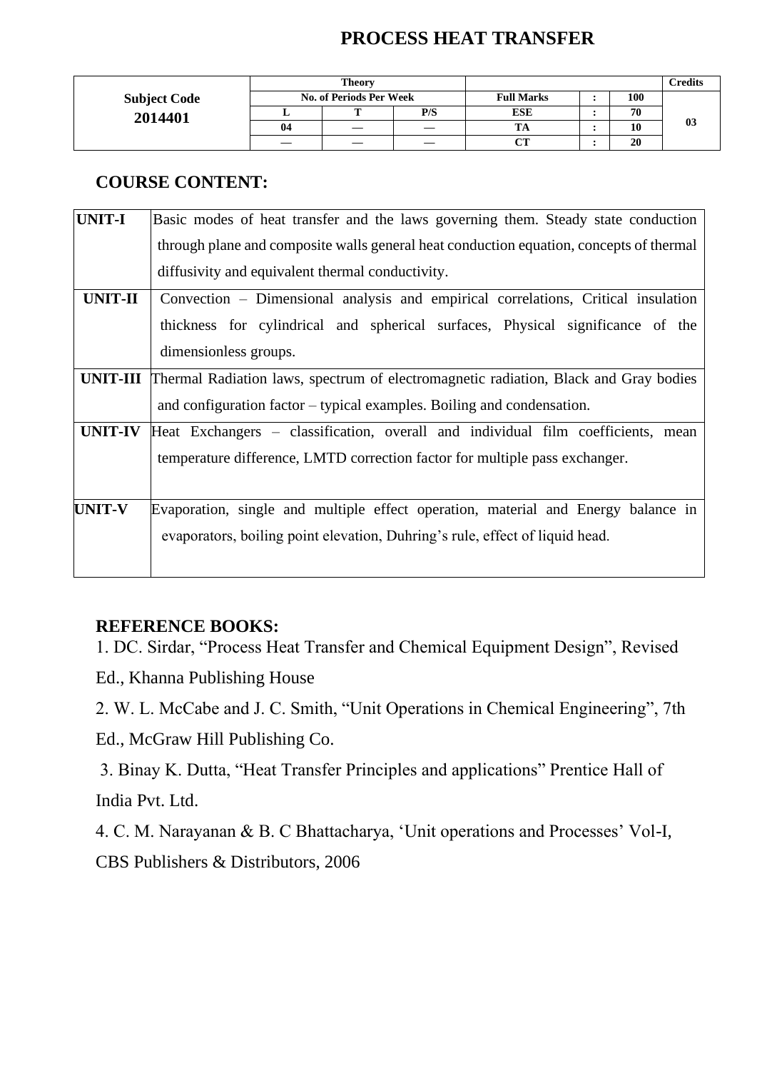## **PROCESS HEAT TRANSFER**

|                     |                         | <b>Theory</b> |     |                   | Credits |    |
|---------------------|-------------------------|---------------|-----|-------------------|---------|----|
| <b>Subject Code</b> | No. of Periods Per Week |               |     | <b>Full Marks</b> | 100     |    |
| 2014401             |                         | m             | P/S | <b>ESE</b>        | 70      |    |
|                     | 04                      | —             |     | m<br>ıА           | 10      | 03 |
|                     |                         |               |     | $\sim$            | 20      |    |

### **COURSE CONTENT:**

| <b>UNIT-I</b>   | Basic modes of heat transfer and the laws governing them. Steady state conduction       |
|-----------------|-----------------------------------------------------------------------------------------|
|                 | through plane and composite walls general heat conduction equation, concepts of thermal |
|                 | diffusivity and equivalent thermal conductivity.                                        |
| <b>UNIT-II</b>  | Convection – Dimensional analysis and empirical correlations, Critical insulation       |
|                 | thickness for cylindrical and spherical surfaces, Physical significance of the          |
|                 | dimensionless groups.                                                                   |
| <b>UNIT-III</b> | Thermal Radiation laws, spectrum of electromagnetic radiation, Black and Gray bodies    |
|                 | and configuration factor – typical examples. Boiling and condensation.                  |
| <b>UNIT-IV</b>  | Heat Exchangers – classification, overall and individual film coefficients, mean        |
|                 | temperature difference, LMTD correction factor for multiple pass exchanger.             |
|                 |                                                                                         |
| <b>UNIT-V</b>   | Evaporation, single and multiple effect operation, material and Energy balance in       |
|                 | evaporators, boiling point elevation, Duhring's rule, effect of liquid head.            |
|                 |                                                                                         |

#### **REFERENCE BOOKS:**

1. DC. Sirdar, "Process Heat Transfer and Chemical Equipment Design", Revised

Ed., Khanna Publishing House

2. W. L. McCabe and J. C. Smith, "Unit Operations in Chemical Engineering", 7th Ed., McGraw Hill Publishing Co.

3. Binay K. Dutta, "Heat Transfer Principles and applications" Prentice Hall of India Pvt. Ltd.

4. C. M. Narayanan & B. C Bhattacharya, 'Unit operations and Processes' Vol-I, CBS Publishers & Distributors, 2006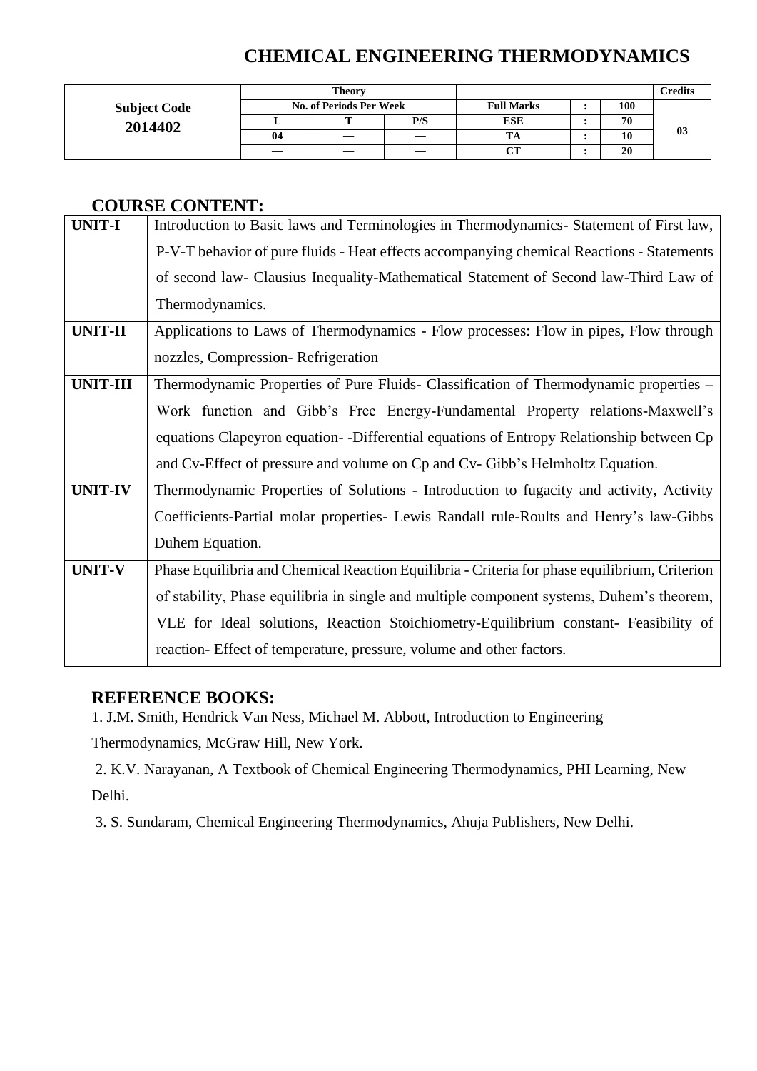## **CHEMICAL ENGINEERING THERMODYNAMICS**

|                     |                                | Theory |     |                   | <b>Credits</b> |    |
|---------------------|--------------------------------|--------|-----|-------------------|----------------|----|
| <b>Subject Code</b> | <b>No. of Periods Per Week</b> |        |     | <b>Full Marks</b> | 100            |    |
| 2014402             |                                | m      | P/S | <b>ESE</b>        | 70             |    |
|                     | 04                             |        |     | TA                | 10             | 03 |
|                     |                                |        |     | $\alpha$ t        | 20             |    |

#### **COURSE CONTENT:**

| <b>UNIT-I</b>   | Introduction to Basic laws and Terminologies in Thermodynamics- Statement of First law,       |
|-----------------|-----------------------------------------------------------------------------------------------|
|                 | P-V-T behavior of pure fluids - Heat effects accompanying chemical Reactions - Statements     |
|                 | of second law- Clausius Inequality-Mathematical Statement of Second law-Third Law of          |
|                 | Thermodynamics.                                                                               |
| <b>UNIT-II</b>  | Applications to Laws of Thermodynamics - Flow processes: Flow in pipes, Flow through          |
|                 | nozzles, Compression-Refrigeration                                                            |
| <b>UNIT-III</b> | Thermodynamic Properties of Pure Fluids- Classification of Thermodynamic properties -         |
|                 | Work function and Gibb's Free Energy-Fundamental Property relations-Maxwell's                 |
|                 | equations Clapeyron equation - -Differential equations of Entropy Relationship between Cp     |
|                 | and Cv-Effect of pressure and volume on Cp and Cv-Gibb's Helmholtz Equation.                  |
| <b>UNIT-IV</b>  | Thermodynamic Properties of Solutions - Introduction to fugacity and activity, Activity       |
|                 | Coefficients-Partial molar properties- Lewis Randall rule-Roults and Henry's law-Gibbs        |
|                 | Duhem Equation.                                                                               |
| <b>UNIT-V</b>   | Phase Equilibria and Chemical Reaction Equilibria - Criteria for phase equilibrium, Criterion |
|                 | of stability, Phase equilibria in single and multiple component systems, Duhem's theorem,     |
|                 | VLE for Ideal solutions, Reaction Stoichiometry-Equilibrium constant- Feasibility of          |
|                 | reaction- Effect of temperature, pressure, volume and other factors.                          |

#### **REFERENCE BOOKS:**

1. J.M. Smith, Hendrick Van Ness, Michael M. Abbott, Introduction to Engineering

Thermodynamics, McGraw Hill, New York.

2. K.V. Narayanan, A Textbook of Chemical Engineering Thermodynamics, PHI Learning, New Delhi.

3. S. Sundaram, Chemical Engineering Thermodynamics, Ahuja Publishers, New Delhi.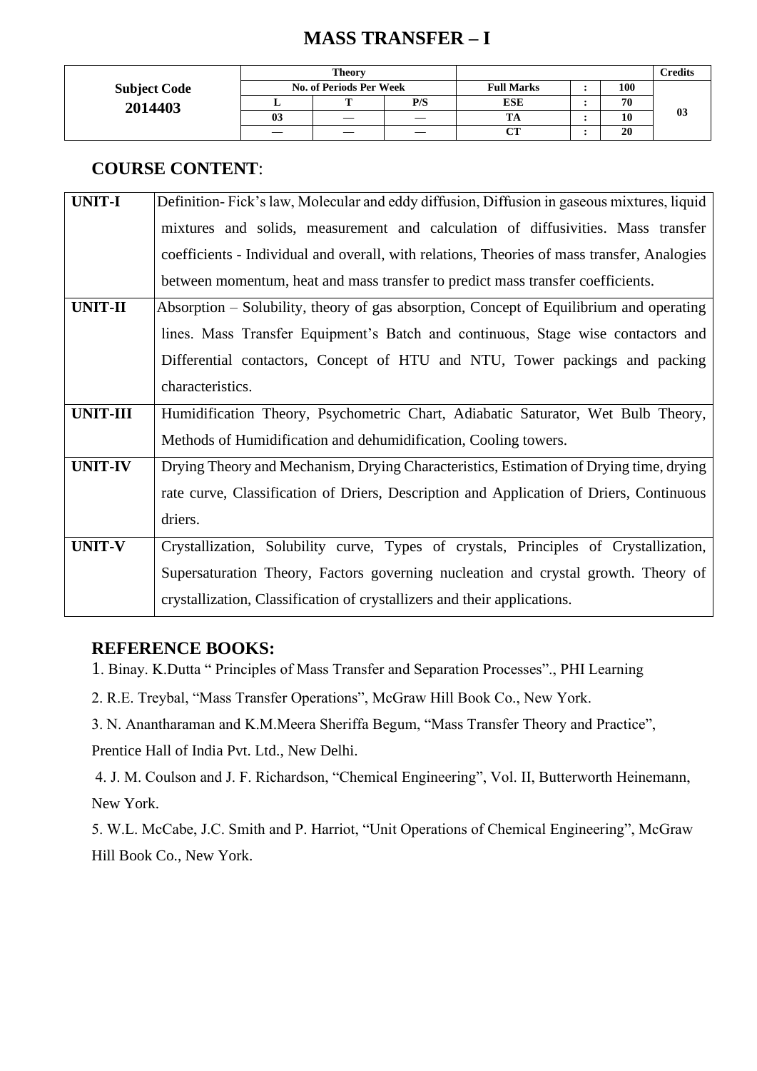## **MASS TRANSFER – I**

|                     |    | <b>Theory</b>                  |     |                   | <b>Credits</b> |    |  |  |
|---------------------|----|--------------------------------|-----|-------------------|----------------|----|--|--|
| <b>Subject Code</b> |    | <b>No. of Periods Per Week</b> |     | <b>Full Marks</b> | 100            |    |  |  |
| 2014403             |    | m                              | P/S | <b>ESE</b>        | 70             |    |  |  |
|                     | 03 | —                              | __  |                   | 10             | 03 |  |  |
|                     |    |                                |     | $C$ T             | 20             |    |  |  |

#### **COURSE CONTENT**:

| <b>UNIT-I</b>   | Definition-Fick's law, Molecular and eddy diffusion, Diffusion in gaseous mixtures, liquid  |
|-----------------|---------------------------------------------------------------------------------------------|
|                 | mixtures and solids, measurement and calculation of diffusivities. Mass transfer            |
|                 | coefficients - Individual and overall, with relations, Theories of mass transfer, Analogies |
|                 | between momentum, heat and mass transfer to predict mass transfer coefficients.             |
| <b>UNIT-II</b>  | Absorption – Solubility, theory of gas absorption, Concept of Equilibrium and operating     |
|                 | lines. Mass Transfer Equipment's Batch and continuous, Stage wise contactors and            |
|                 | Differential contactors, Concept of HTU and NTU, Tower packings and packing                 |
|                 | characteristics.                                                                            |
| <b>UNIT-III</b> | Humidification Theory, Psychometric Chart, Adiabatic Saturator, Wet Bulb Theory,            |
|                 | Methods of Humidification and dehumidification, Cooling towers.                             |
| <b>UNIT-IV</b>  | Drying Theory and Mechanism, Drying Characteristics, Estimation of Drying time, drying      |
|                 | rate curve, Classification of Driers, Description and Application of Driers, Continuous     |
|                 | driers.                                                                                     |
| <b>UNIT-V</b>   | Crystallization, Solubility curve, Types of crystals, Principles of Crystallization,        |
|                 | Supersaturation Theory, Factors governing nucleation and crystal growth. Theory of          |
|                 | crystallization, Classification of crystallizers and their applications.                    |

#### **REFERENCE BOOKS:**

1. Binay. K.Dutta " Principles of Mass Transfer and Separation Processes"., PHI Learning

2. R.E. Treybal, "Mass Transfer Operations", McGraw Hill Book Co., New York.

3. N. Anantharaman and K.M.Meera Sheriffa Begum, "Mass Transfer Theory and Practice",

Prentice Hall of India Pvt. Ltd., New Delhi.

4. J. M. Coulson and J. F. Richardson, "Chemical Engineering", Vol. II, Butterworth Heinemann, New York.

5. W.L. McCabe, J.C. Smith and P. Harriot, "Unit Operations of Chemical Engineering", McGraw Hill Book Co., New York.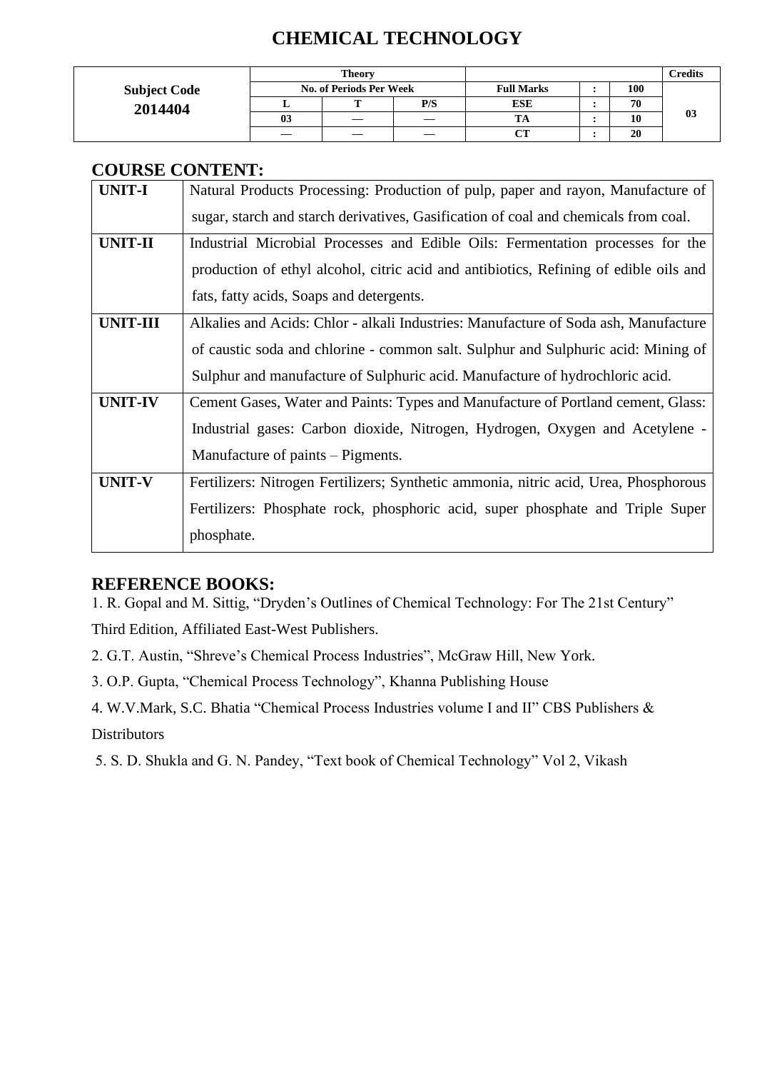## **CHEMICAL TECHNOLOGY**

|                     |    | <b>Theory</b>                  |     |                   | <b>Credits</b> |    |
|---------------------|----|--------------------------------|-----|-------------------|----------------|----|
| <b>Subject Code</b> |    | <b>No. of Periods Per Week</b> |     | <b>Full Marks</b> | 100            |    |
| 2014404             |    | m                              | P/S | ESE               | 70             |    |
|                     | 03 |                                |     |                   | 10             | 03 |
|                     |    |                                |     | CТ                | 20             |    |

### **COURSE CONTENT:**

| <b>UNIT-I</b>   |                                                                                       |
|-----------------|---------------------------------------------------------------------------------------|
|                 | Natural Products Processing: Production of pulp, paper and rayon, Manufacture of      |
|                 | sugar, starch and starch derivatives, Gasification of coal and chemicals from coal.   |
| <b>UNIT-II</b>  | Industrial Microbial Processes and Edible Oils: Fermentation processes for the        |
|                 | production of ethyl alcohol, citric acid and antibiotics, Refining of edible oils and |
|                 | fats, fatty acids, Soaps and detergents.                                              |
| <b>UNIT-III</b> | Alkalies and Acids: Chlor - alkali Industries: Manufacture of Soda ash, Manufacture   |
|                 | of caustic soda and chlorine - common salt. Sulphur and Sulphuric acid: Mining of     |
|                 | Sulphur and manufacture of Sulphuric acid. Manufacture of hydrochloric acid.          |
| <b>UNIT-IV</b>  | Cement Gases, Water and Paints: Types and Manufacture of Portland cement, Glass:      |
|                 | Industrial gases: Carbon dioxide, Nitrogen, Hydrogen, Oxygen and Acetylene -          |
|                 | Manufacture of paints – Pigments.                                                     |
| <b>UNIT-V</b>   | Fertilizers: Nitrogen Fertilizers; Synthetic ammonia, nitric acid, Urea, Phosphorous  |
|                 | Fertilizers: Phosphate rock, phosphoric acid, super phosphate and Triple Super        |
|                 | phosphate.                                                                            |

#### **REFERENCE BOOKS:**

1. R. Gopal and M. Sittig, "Dryden's Outlines of Chemical Technology: For The 21st Century" Third Edition, Affiliated East-West Publishers.

2. G.T. Austin, "Shreve's Chemical Process Industries", McGraw Hill, New York.

3. O.P. Gupta, "Chemical Process Technology", Khanna Publishing House

4. W.V.Mark, S.C. Bhatia "Chemical Process Industries volume I and II" CBS Publishers & **Distributors** 

5. S. D. Shukla and G. N. Pandey, "Text book of Chemical Technology" Vol 2, Vikash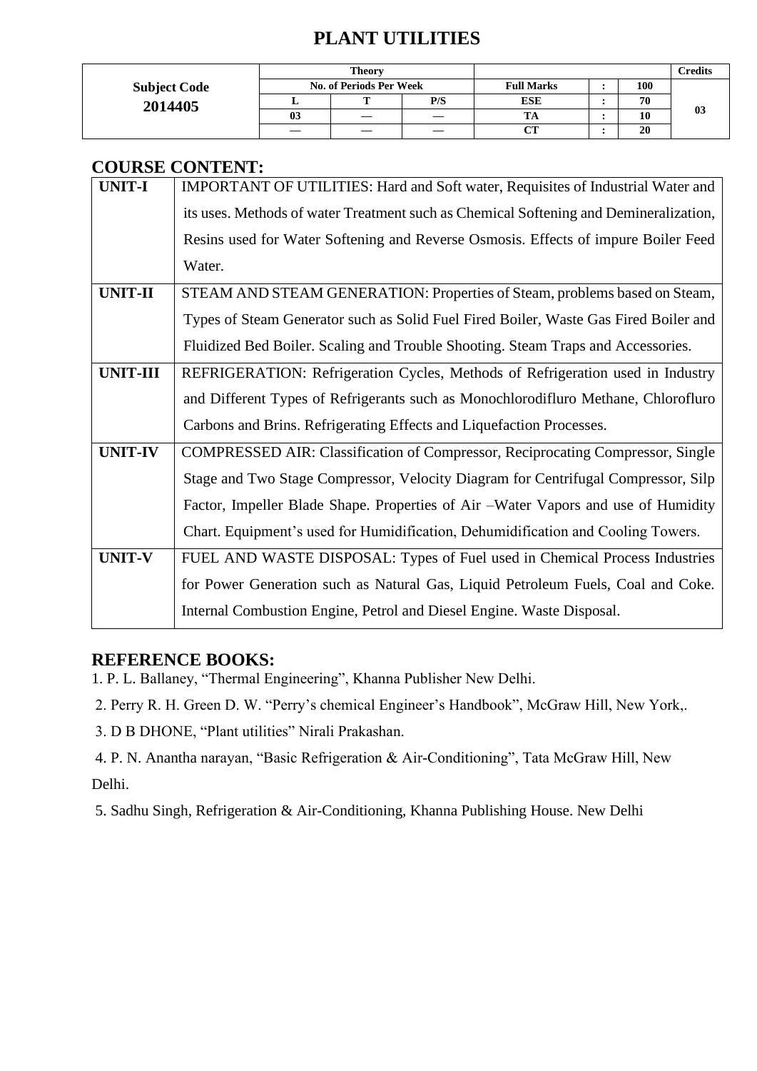## **PLANT UTILITIES**

|                     |                                | <b>Theory</b> |     |                   | <b>Credits</b> |    |
|---------------------|--------------------------------|---------------|-----|-------------------|----------------|----|
| <b>Subject Code</b> | <b>No. of Periods Per Week</b> |               |     | <b>Full Marks</b> | 100            |    |
| 2014405             |                                | m             | P/S | <b>ESE</b>        | 70             |    |
|                     | 03                             |               |     | ĪА                | 10             | 03 |
|                     |                                |               |     | $\alpha$ tt       | 20             |    |

### **COURSE CONTENT:**

|                 | COUNSE CONTENT.                                                                       |
|-----------------|---------------------------------------------------------------------------------------|
| <b>UNIT-I</b>   | IMPORTANT OF UTILITIES: Hard and Soft water, Requisites of Industrial Water and       |
|                 | its uses. Methods of water Treatment such as Chemical Softening and Demineralization, |
|                 | Resins used for Water Softening and Reverse Osmosis. Effects of impure Boiler Feed    |
|                 | Water.                                                                                |
| <b>UNIT-II</b>  | STEAM AND STEAM GENERATION: Properties of Steam, problems based on Steam,             |
|                 | Types of Steam Generator such as Solid Fuel Fired Boiler, Waste Gas Fired Boiler and  |
|                 | Fluidized Bed Boiler. Scaling and Trouble Shooting. Steam Traps and Accessories.      |
| <b>UNIT-III</b> | REFRIGERATION: Refrigeration Cycles, Methods of Refrigeration used in Industry        |
|                 | and Different Types of Refrigerants such as Monochlorodifluro Methane, Chlorofluro    |
|                 | Carbons and Brins. Refrigerating Effects and Liquefaction Processes.                  |
| <b>UNIT-IV</b>  | COMPRESSED AIR: Classification of Compressor, Reciprocating Compressor, Single        |
|                 | Stage and Two Stage Compressor, Velocity Diagram for Centrifugal Compressor, Silp     |
|                 | Factor, Impeller Blade Shape. Properties of Air –Water Vapors and use of Humidity     |
|                 | Chart. Equipment's used for Humidification, Dehumidification and Cooling Towers.      |
| <b>UNIT-V</b>   | FUEL AND WASTE DISPOSAL: Types of Fuel used in Chemical Process Industries            |
|                 | for Power Generation such as Natural Gas, Liquid Petroleum Fuels, Coal and Coke.      |
|                 | Internal Combustion Engine, Petrol and Diesel Engine. Waste Disposal.                 |

#### **REFERENCE BOOKS:**

- 1. P. L. Ballaney, "Thermal Engineering", Khanna Publisher New Delhi.
- 2. Perry R. H. Green D. W. "Perry's chemical Engineer's Handbook", McGraw Hill, New York,.
- 3. D B DHONE, "Plant utilities" Nirali Prakashan.
- 4. P. N. Anantha narayan, "Basic Refrigeration & Air-Conditioning", Tata McGraw Hill, New Delhi.
- 5. Sadhu Singh, Refrigeration & Air-Conditioning, Khanna Publishing House. New Delhi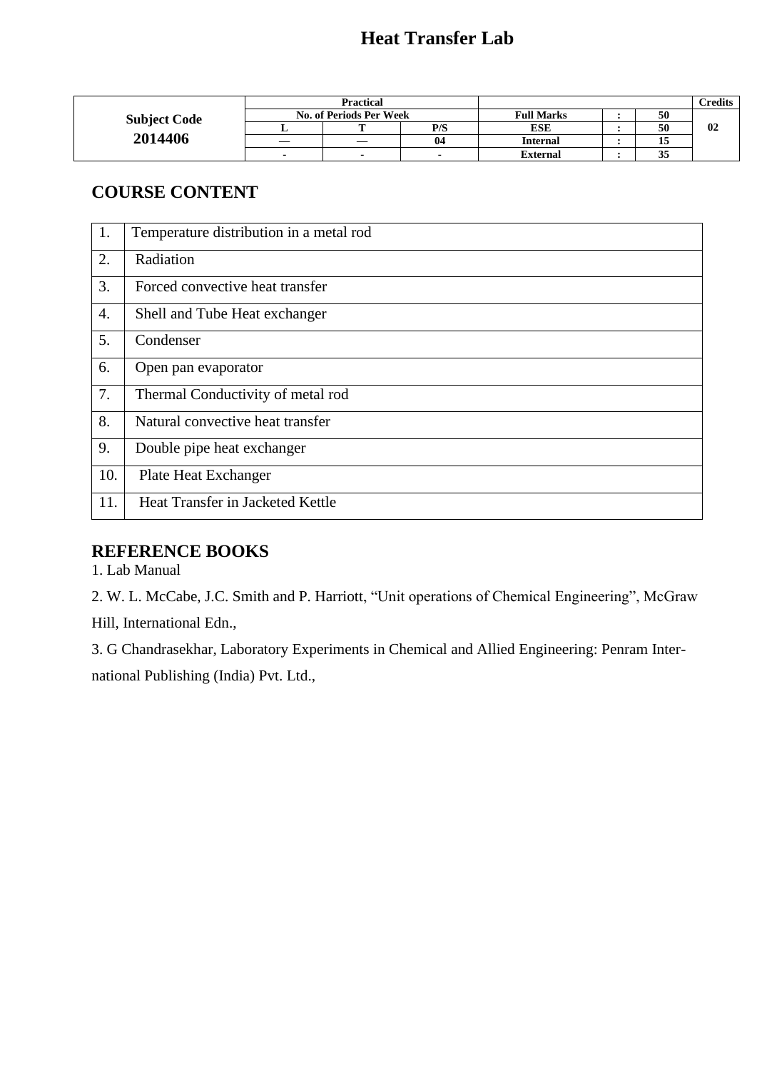|                     | <b>Practical</b>        |   |     |                   |  |              | <b>Predits</b> |
|---------------------|-------------------------|---|-----|-------------------|--|--------------|----------------|
| <b>Subject Code</b> | No. of Periods Per Week |   |     | <b>Full Marks</b> |  | 50           |                |
|                     |                         | m | P/S | <b>ESE</b>        |  | 50           | 02             |
| 2014406             |                         |   | 04  | <b>Internal</b>   |  | 15           |                |
|                     |                         |   |     | <b>External</b>   |  | $\sim$<br>35 |                |

### **COURSE CONTENT**

| 1.  | Temperature distribution in a metal rod |
|-----|-----------------------------------------|
| 2.  | Radiation                               |
| 3.  | Forced convective heat transfer         |
| 4.  | Shell and Tube Heat exchanger           |
| 5.  | Condenser                               |
| 6.  | Open pan evaporator                     |
| 7.  | Thermal Conductivity of metal rod       |
| 8.  | Natural convective heat transfer        |
| 9.  | Double pipe heat exchanger              |
| 10. | Plate Heat Exchanger                    |
| 11. | Heat Transfer in Jacketed Kettle        |

### **REFERENCE BOOKS**

1. Lab Manual

2. W. L. McCabe, J.C. Smith and P. Harriott, "Unit operations of Chemical Engineering", McGraw Hill, International Edn.,

3. G Chandrasekhar, Laboratory Experiments in Chemical and Allied Engineering: Penram International Publishing (India) Pvt. Ltd.,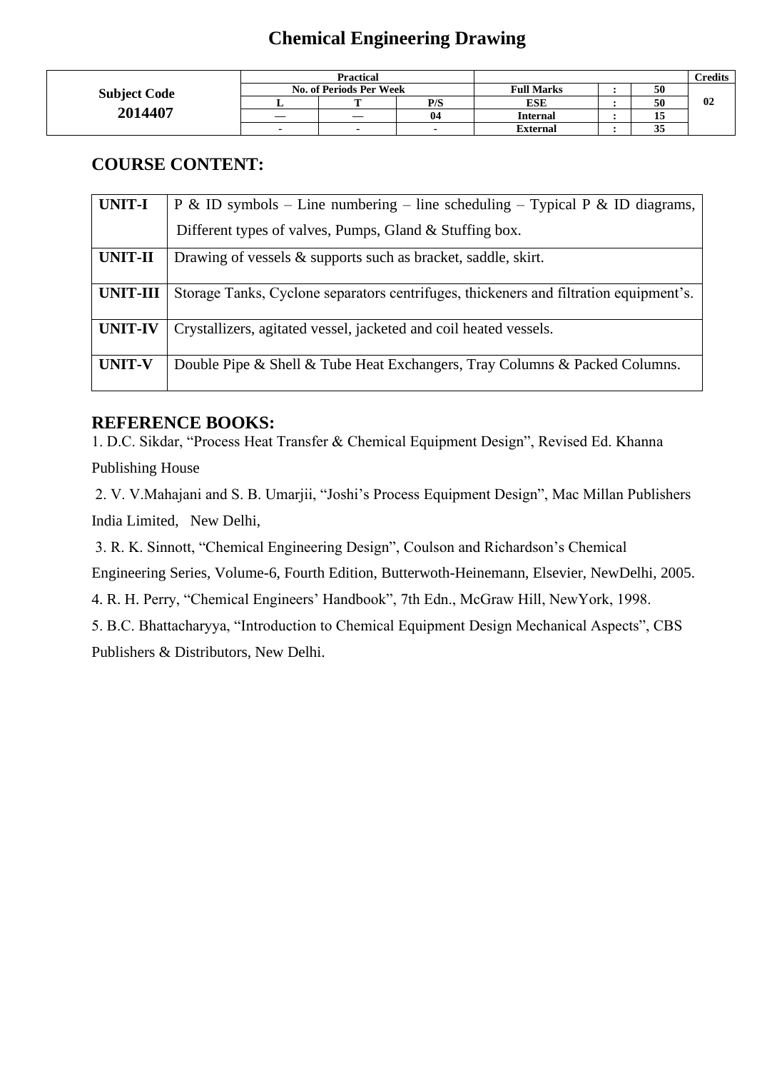### **Chemical Engineering Drawing**

|                     | <b>Practical</b>        |    |     |                   |  |    | Credits |
|---------------------|-------------------------|----|-----|-------------------|--|----|---------|
| <b>Subject Code</b> | No. of Periods Per Week |    |     | <b>Full Marks</b> |  | 50 |         |
|                     |                         |    | P/S | ESE               |  | 50 | 02      |
| 2014407             |                         | __ | 04  | <b>Internal</b>   |  | IJ |         |
|                     |                         |    |     | <b>External</b>   |  | 35 |         |

### **COURSE CONTENT:**

| <b>UNIT-I</b>   | P & ID symbols – Line numbering – line scheduling – Typical P & ID diagrams,          |
|-----------------|---------------------------------------------------------------------------------------|
|                 | Different types of valves, Pumps, Gland & Stuffing box.                               |
| <b>UNIT-II</b>  | Drawing of vessels $\&$ supports such as bracket, saddle, skirt.                      |
| <b>UNIT-III</b> | Storage Tanks, Cyclone separators centrifuges, thickeners and filtration equipment's. |
| <b>UNIT-IV</b>  | Crystallizers, agitated vessel, jacketed and coil heated vessels.                     |
| <b>UNIT-V</b>   | Double Pipe & Shell & Tube Heat Exchangers, Tray Columns & Packed Columns.            |

#### **REFERENCE BOOKS:**

1. D.C. Sikdar, "Process Heat Transfer & Chemical Equipment Design", Revised Ed. Khanna

Publishing House

2. V. V.Mahajani and S. B. Umarjii, "Joshi's Process Equipment Design", Mac Millan Publishers India Limited, New Delhi,

3. R. K. Sinnott, "Chemical Engineering Design", Coulson and Richardson's Chemical Engineering Series, Volume-6, Fourth Edition, Butterwoth-Heinemann, Elsevier, NewDelhi, 2005.

4. R. H. Perry, "Chemical Engineers' Handbook", 7th Edn., McGraw Hill, NewYork, 1998.

5. B.C. Bhattacharyya, "Introduction to Chemical Equipment Design Mechanical Aspects", CBS

Publishers & Distributors, New Delhi.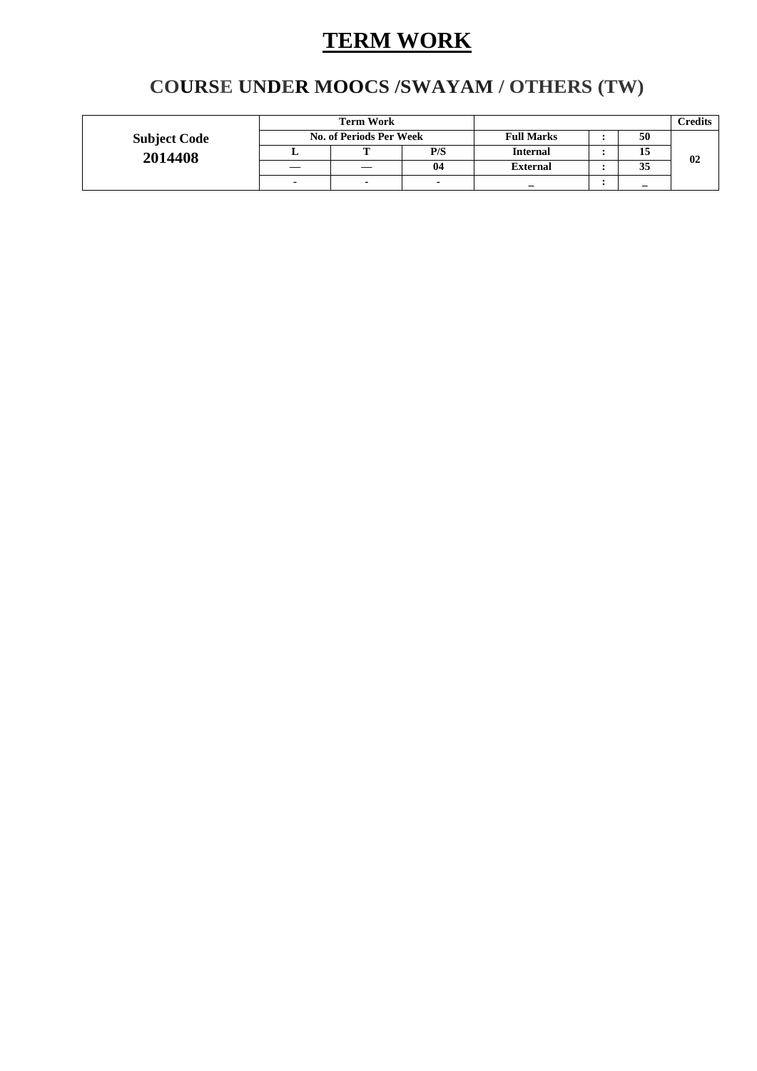# **TERM WORK**

## **COURSE UNDER MOOCS /SWAYAM / OTHERS (TW)**

|                     | <b>Term Work</b>               |  |                   |                 |    |    | <b>Credits</b> |
|---------------------|--------------------------------|--|-------------------|-----------------|----|----|----------------|
| <b>Subject Code</b> | <b>No. of Periods Per Week</b> |  | <b>Full Marks</b> |                 | 50 |    |                |
| 2014408             |                                |  | P/S               | <b>Internal</b> |    | 15 | 02             |
|                     |                                |  | 04                | <b>External</b> |    | 35 |                |
|                     |                                |  |                   | -               |    | —  |                |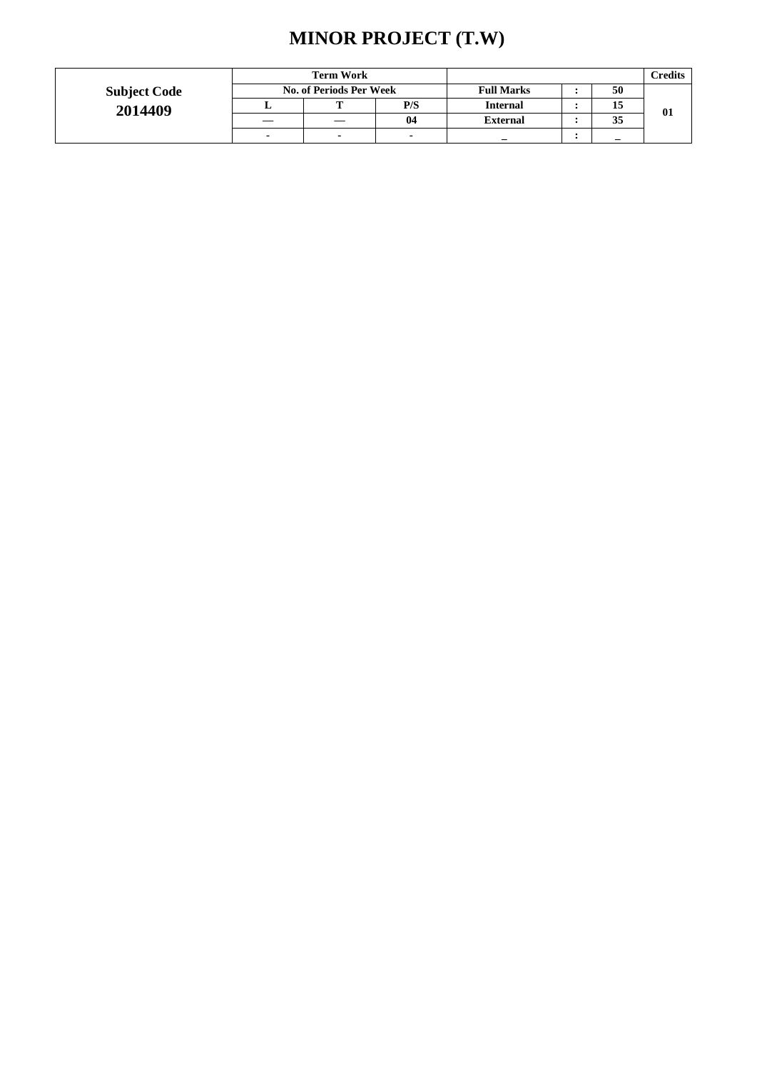## **MINOR PROJECT (T.W)**

|                     | <b>Term Work</b> |                                |     |                   |  |    | Credits |
|---------------------|------------------|--------------------------------|-----|-------------------|--|----|---------|
| <b>Subject Code</b> |                  | <b>No. of Periods Per Week</b> |     | <b>Full Marks</b> |  | 50 |         |
| 2014409             |                  |                                | P/S | <b>Internal</b>   |  | 15 | 01      |
|                     |                  |                                | 04  | <b>External</b>   |  | 35 |         |
|                     | -                | $\overline{\phantom{0}}$       |     |                   |  |    |         |